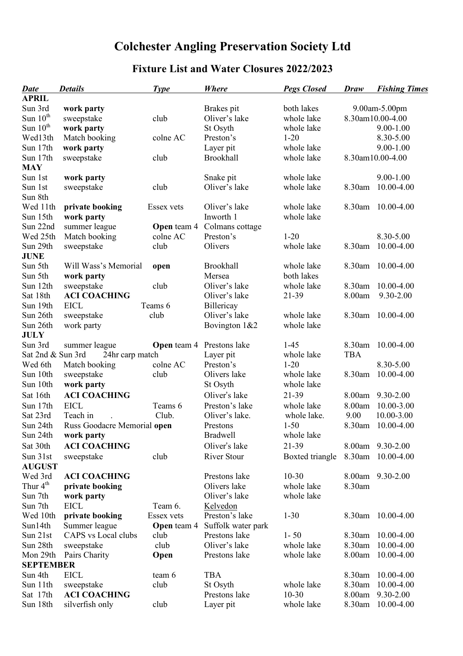## **Colchester Angling Preservation Society Ltd**

## **Fixture List and Water Closures 2022/2023**

| <b>Date</b>       | <b>Details</b>              | <b>Type</b>        | <b>Where</b>       | <b>Pegs Closed</b> | Draw          | <b>Fishing Times</b> |
|-------------------|-----------------------------|--------------------|--------------------|--------------------|---------------|----------------------|
| <b>APRIL</b>      |                             |                    |                    |                    |               |                      |
| Sun 3rd           | work party                  |                    | Brakes pit         | both lakes         | 9.00am-5.00pm |                      |
| Sun $10th$        | sweepstake                  | club               | Oliver's lake      | whole lake         |               | 8.30am10.00-4.00     |
| Sun $10th$        | work party                  |                    | St Osyth           | whole lake         |               | $9.00 - 1.00$        |
| Wed13th           | Match booking               | colne AC           | Preston's          | $1 - 20$           |               | 8.30-5.00            |
| Sun 17th          | work party                  |                    | Layer pit          | whole lake         |               | $9.00 - 1.00$        |
| Sun 17th          | sweepstake                  | club               | Brookhall          | whole lake         |               | 8.30am10.00-4.00     |
| <b>MAY</b>        |                             |                    |                    |                    |               |                      |
| Sun 1st           | work party                  |                    | Snake pit          | whole lake         |               | $9.00 - 1.00$        |
| Sun 1st           | sweepstake                  | club               | Oliver's lake      | whole lake         | 8.30am        | 10.00-4.00           |
| Sun 8th           |                             |                    |                    |                    |               |                      |
| Wed 11th          | private booking             | Essex vets         | Oliver's lake      | whole lake         | 8.30am        | 10.00-4.00           |
| Sun 15th          | work party                  |                    | Inworth 1          | whole lake         |               |                      |
| Sun 22nd          | summer league               | <b>Open</b> team 4 | Colmans cottage    |                    |               |                      |
| Wed 25th          | Match booking               | colne AC           | Preston's          | $1 - 20$           |               | 8.30-5.00            |
| Sun 29th          | sweepstake                  | club               | Olivers            | whole lake         | 8.30am        | 10.00-4.00           |
| <b>JUNE</b>       |                             |                    |                    |                    |               |                      |
| Sun 5th           | Will Wass's Memorial        | open               | Brookhall          | whole lake         | 8.30am        | 10.00-4.00           |
| Sun 5th           | work party                  |                    | Mersea             | both lakes         |               |                      |
| Sun 12th          | sweepstake                  | club               | Oliver's lake      | whole lake         | 8.30am        | 10.00-4.00           |
| Sat 18th          | <b>ACI COACHING</b>         |                    | Oliver's lake      | 21-39              | 8.00am        | 9.30-2.00            |
| Sun 19th          | <b>EICL</b>                 | Teams 6            | Billericay         |                    |               |                      |
| Sun 26th          | sweepstake                  | club               | Oliver's lake      | whole lake         | 8.30am        | $10.00 - 4.00$       |
| Sun 26th          | work party                  |                    | Bovington 1&2      | whole lake         |               |                      |
| <b>JULY</b>       |                             |                    |                    |                    |               |                      |
| Sun 3rd           | summer league               | <b>Open</b> team 4 | Prestons lake      | $1 - 45$           | 8.30am        | 10.00-4.00           |
| Sat 2nd & Sun 3rd | 24hr carp match             |                    | Layer pit          | whole lake         | <b>TBA</b>    |                      |
| Wed 6th           | Match booking               | colne AC           | Preston's          | $1 - 20$           |               | 8.30-5.00            |
| Sun 10th          | sweepstake                  | club               | Olivers lake       | whole lake         | 8.30am        | 10.00-4.00           |
| Sun 10th          | work party                  |                    | St Osyth           | whole lake         |               |                      |
| Sat 16th          | <b>ACI COACHING</b>         |                    | Oliver's lake      | 21-39              | 8.00am        | 9.30-2.00            |
| Sun 17th          | <b>EICL</b>                 | Teams 6            | Preston's lake     | whole lake         | 8.00am        | 10.00-3.00           |
| Sat 23rd          | Teach in                    | Club.              | Oliver's lake.     | whole lake.        | 9.00          | 10.00-3.00           |
| Sun 24th          | Russ Goodacre Memorial open |                    | Prestons           | $1 - 50$           | 8.30am        | 10.00-4.00           |
| Sun 24th          | work party                  |                    | <b>Bradwell</b>    | whole lake         |               |                      |
| Sat 30th          | <b>ACI COACHING</b>         |                    | Oliver's lake      | 21-39              |               | 8.00am 9.30-2.00     |
| Sun 31st          | sweepstake                  | club               | <b>River Stour</b> | Boxted triangle    | 8.30am        | 10.00-4.00           |
| <b>AUGUST</b>     |                             |                    |                    |                    |               |                      |
| Wed 3rd           | <b>ACI COACHING</b>         |                    | Prestons lake      | $10 - 30$          |               | 8.00am 9.30-2.00     |
| Thur $4th$        | private booking             |                    | Olivers lake       | whole lake         | 8.30am        |                      |
| Sun 7th           | work party                  |                    | Oliver's lake      | whole lake         |               |                      |
| Sun 7th           | <b>EICL</b>                 | Team 6.            | Kelvedon           |                    |               |                      |
| Wed 10th          | private booking             | Essex vets         | Preston's lake     | $1 - 30$           |               | 8.30am 10.00-4.00    |
| Sun14th           | Summer league               | <b>Open</b> team 4 | Suffolk water park |                    |               |                      |
| Sun 21st          | CAPS vs Local clubs         | club               | Prestons lake      | $1 - 50$           | 8.30am        | 10.00-4.00           |
| Sun 28th          | sweepstake                  | club               | Oliver's lake      | whole lake         | 8.30am        | 10.00-4.00           |
| Mon 29th          | Pairs Charity               | Open               | Prestons lake      | whole lake         | 8.00am        | 10.00-4.00           |
| <b>SEPTEMBER</b>  |                             |                    |                    |                    |               |                      |
| Sun 4th           | <b>EICL</b>                 | team 6             | <b>TBA</b>         |                    | 8.30am        | 10.00-4.00           |
| Sun 11th          | sweepstake                  | club               | St Osyth           | whole lake         | 8.30am        | 10.00-4.00           |
| Sat 17th          | <b>ACI COACHING</b>         |                    | Prestons lake      | $10 - 30$          | 8.00am        | 9.30-2.00            |
| Sun 18th          | silverfish only             | club               | Layer pit          | whole lake         | 8.30am        | 10.00-4.00           |